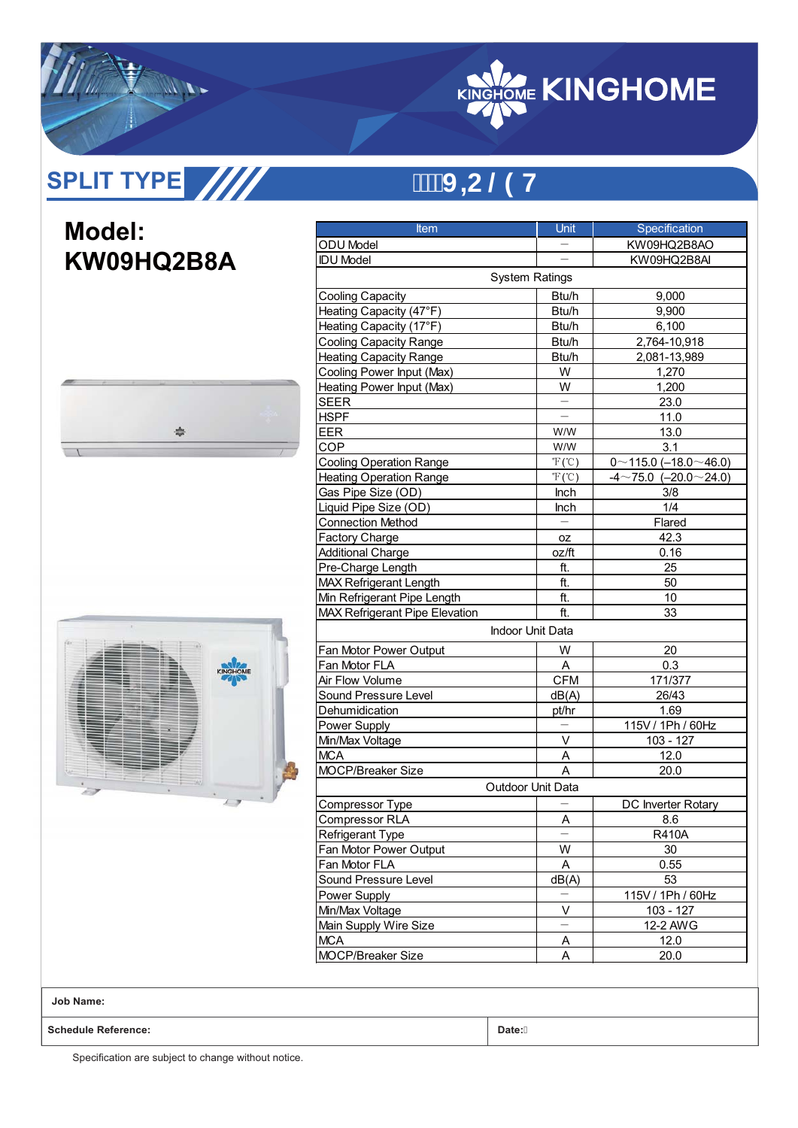

# **SPLIT TYPE**

## **9H®3+U**

### **Model: KW09HQ2B8A**





| <b>Item</b>                           | <b>Unit</b>                | Specification                      |  |  |
|---------------------------------------|----------------------------|------------------------------------|--|--|
| ODU Model                             |                            | KW09HQ2B8AO                        |  |  |
| <b>IDU Model</b>                      |                            | KW09HQ2B8AI                        |  |  |
|                                       | <b>System Ratings</b>      |                                    |  |  |
| <b>Cooling Capacity</b>               | Btu/h                      | 9,000                              |  |  |
| Heating Capacity (47°F)               | Btu/h                      | 9,900                              |  |  |
| Heating Capacity (17°F)               | Btu/h                      | 6,100                              |  |  |
| <b>Cooling Capacity Range</b>         | Btu/h                      | 2,764-10,918                       |  |  |
| <b>Heating Capacity Range</b>         | Btu/h                      | 2,081-13,989                       |  |  |
| Cooling Power Input (Max)             | W                          | 1,270                              |  |  |
| Heating Power Input (Max)             | W                          | 1,200                              |  |  |
| <b>SEER</b>                           |                            | 23.0                               |  |  |
| <b>HSPF</b>                           |                            | 11.0                               |  |  |
| EER                                   | W/W                        | 13.0                               |  |  |
| COP                                   | W/W                        | 3.1                                |  |  |
| <b>Cooling Operation Range</b>        | $\mathcal{F}(\mathcal{C})$ | $0 \sim 115.0$ (-18.0 $\sim$ 46.0) |  |  |
| <b>Heating Operation Range</b>        | $\mathcal{F}(\mathcal{C})$ | $-4$ ~75.0 (-20.0 ~ 24.0)          |  |  |
| Gas Pipe Size (OD)                    | Inch                       | 3/8                                |  |  |
| Liquid Pipe Size (OD)                 | Inch                       | 1/4                                |  |  |
| <b>Connection Method</b>              |                            | Flared                             |  |  |
| <b>Factory Charge</b>                 | 0Z                         | 42.3                               |  |  |
| <b>Additional Charge</b>              | oz/ft                      | 0.16                               |  |  |
| Pre-Charge Length                     | ft.                        | 25                                 |  |  |
| <b>MAX Refrigerant Length</b>         | ft.                        | 50                                 |  |  |
| Min Refrigerant Pipe Length           | ft.                        | 10                                 |  |  |
| <b>MAX Refrigerant Pipe Elevation</b> | ft.                        | 33                                 |  |  |
|                                       | <b>Indoor Unit Data</b>    |                                    |  |  |
| Fan Motor Power Output                | W                          | 20                                 |  |  |
| Fan Motor FLA                         | A                          | 0.3                                |  |  |
| Air Flow Volume                       | <b>CFM</b>                 | 171/377                            |  |  |
| Sound Pressure Level                  | dB(A)                      | 26/43                              |  |  |
| Dehumidication                        | pt/hr                      | 1.69                               |  |  |
| Power Supply                          |                            | 115V / 1Ph / 60Hz                  |  |  |
| Min/Max Voltage                       | V                          | 103 - 127                          |  |  |
| <b>MCA</b>                            | Α                          | 12.0                               |  |  |
| MOCP/Breaker Size                     | A                          | 20.0                               |  |  |
|                                       | <b>Outdoor Unit Data</b>   |                                    |  |  |
| Compressor Type                       |                            | DC Inverter Rotary                 |  |  |
| Compressor RLA                        | <u>A</u>                   | 8.6                                |  |  |
| Refrigerant Type                      |                            | R410A                              |  |  |
| Fan Motor Power Output                | W                          | 30                                 |  |  |
| Fan Motor FLA                         | Α                          | 0.55                               |  |  |
| Sound Pressure Level                  | dB(A)                      | 53                                 |  |  |
| Power Supply                          |                            | 115V / 1Ph / 60Hz                  |  |  |
| Min/Max Voltage                       | V                          | $103 - 127$                        |  |  |
| Main Supply Wire Size                 |                            | 12-2 AWG                           |  |  |
| <b>MCA</b>                            | A                          | 12.0                               |  |  |
| MOCP/Breaker Size                     | Α                          | 20.0                               |  |  |

**Job Name:**

**Schedule Reference: Date:**

Specification are subject to change without notice.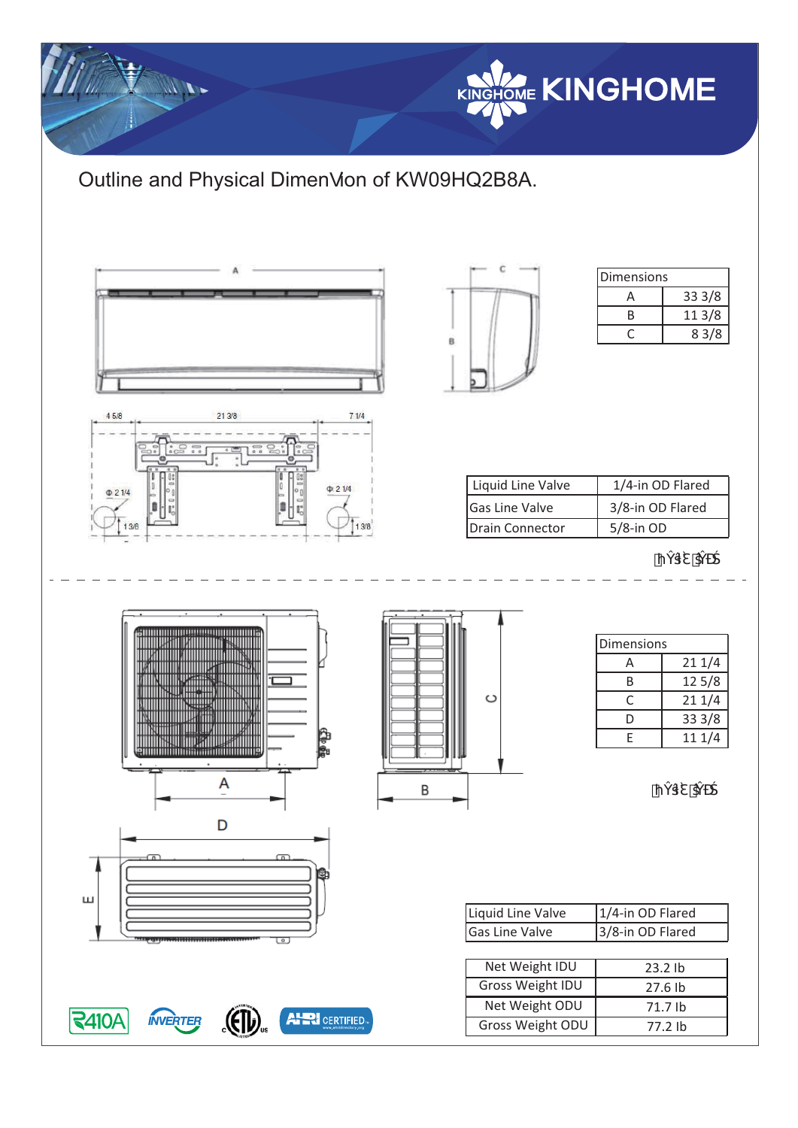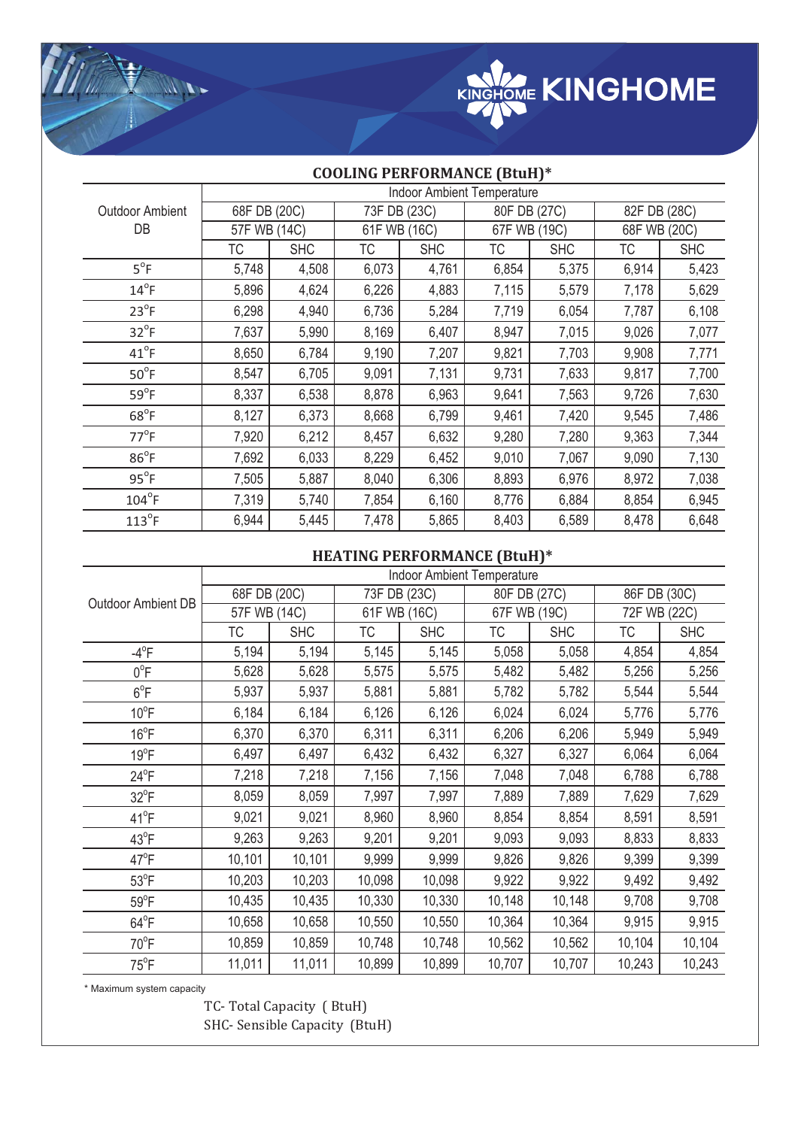

|                              | <b>Indoor Ambient Temperature</b> |              |       |              |              |              |              |              |  |
|------------------------------|-----------------------------------|--------------|-------|--------------|--------------|--------------|--------------|--------------|--|
| <b>Outdoor Ambient</b><br>DB |                                   | 68F DB (20C) |       | 73F DB (23C) |              | 80F DB (27C) |              | 82F DB (28C) |  |
|                              |                                   | 57F WB (14C) |       | 61F WB (16C) | 67F WB (19C) |              | 68F WB (20C) |              |  |
|                              | ТC                                | <b>SHC</b>   | ТC    | <b>SHC</b>   | ТC           | <b>SHC</b>   | ТC           | <b>SHC</b>   |  |
| $5^{\circ}F$                 | 5,748                             | 4,508        | 6,073 | 4,761        | 6,854        | 5,375        | 6,914        | 5,423        |  |
| $14^{\circ}$ F               | 5,896                             | 4,624        | 6,226 | 4,883        | 7,115        | 5,579        | 7,178        | 5,629        |  |
| $23^{\circ}F$                | 6,298                             | 4,940        | 6,736 | 5,284        | 7,719        | 6,054        | 7,787        | 6,108        |  |
| $32^{\circ}F$                | 7,637                             | 5,990        | 8,169 | 6,407        | 8,947        | 7,015        | 9,026        | 7,077        |  |
| $41^{\circ}$ F               | 8,650                             | 6,784        | 9,190 | 7,207        | 9,821        | 7,703        | 9,908        | 7,771        |  |
| $50^{\circ}$ F               | 8,547                             | 6,705        | 9,091 | 7,131        | 9,731        | 7,633        | 9,817        | 7,700        |  |
| $59^{\circ}F$                | 8,337                             | 6,538        | 8,878 | 6,963        | 9,641        | 7,563        | 9,726        | 7,630        |  |
| $68^{\circ}F$                | 8,127                             | 6,373        | 8,668 | 6,799        | 9,461        | 7,420        | 9,545        | 7,486        |  |
| $77^{\circ}$ F               | 7,920                             | 6,212        | 8,457 | 6,632        | 9,280        | 7,280        | 9,363        | 7,344        |  |
| $86^{\circ}F$                | 7,692                             | 6,033        | 8,229 | 6,452        | 9,010        | 7,067        | 9,090        | 7,130        |  |
| $95^{\circ}F$                | 7,505                             | 5,887        | 8,040 | 6,306        | 8,893        | 6,976        | 8,972        | 7,038        |  |
| $104^{\circ}$ F              | 7,319                             | 5,740        | 7,854 | 6,160        | 8,776        | 6,884        | 8,854        | 6,945        |  |
| $113^{\circ}$ F              | 6,944                             | 5,445        | 7,478 | 5,865        | 8,403        | 6,589        | 8,478        | 6,648        |  |

#### **COOLING PERFORMANCE (BtuH)\***

### **HEATING PERFORMANCE (BtuH)\***

|                     | <b>Indoor Ambient Temperature</b> |            |              |            |              |            |              |            |
|---------------------|-----------------------------------|------------|--------------|------------|--------------|------------|--------------|------------|
| Outdoor Ambient DB  | 68F DB (20C)                      |            | 73F DB (23C) |            | 80F DB (27C) |            | 86F DB (30C) |            |
|                     | 57F WB (14C)                      |            | 61F WB (16C) |            | 67F WB (19C) |            | 72F WB (22C) |            |
|                     | <b>TC</b>                         | <b>SHC</b> | ТC           | <b>SHC</b> | <b>TC</b>    | <b>SHC</b> | <b>TC</b>    | <b>SHC</b> |
| $-4$ <sup>o</sup> F | 5,194                             | 5,194      | 5,145        | 5,145      | 5,058        | 5,058      | 4,854        | 4,854      |
| $0^{\circ}$ F       | 5,628                             | 5,628      | 5,575        | 5,575      | 5,482        | 5,482      | 5,256        | 5,256      |
| $6^{\circ}$ F       | 5,937                             | 5,937      | 5,881        | 5,881      | 5,782        | 5,782      | 5,544        | 5,544      |
| $10^{\circ}$ F      | 6,184                             | 6,184      | 6,126        | 6,126      | 6,024        | 6,024      | 5,776        | 5,776      |
| $16^{\circ}$ F      | 6,370                             | 6,370      | 6,311        | 6,311      | 6,206        | 6,206      | 5,949        | 5,949      |
| $19^{\circ}$ F      | 6,497                             | 6,497      | 6,432        | 6,432      | 6,327        | 6,327      | 6,064        | 6,064      |
| $24^{\circ}F$       | 7,218                             | 7,218      | 7,156        | 7,156      | 7,048        | 7,048      | 6,788        | 6,788      |
| $32^{\circ}F$       | 8,059                             | 8,059      | 7,997        | 7,997      | 7,889        | 7,889      | 7,629        | 7,629      |
| $41^{\circ}F$       | 9,021                             | 9,021      | 8,960        | 8,960      | 8,854        | 8,854      | 8,591        | 8,591      |
| $43^{\circ}F$       | 9,263                             | 9,263      | 9,201        | 9,201      | 9,093        | 9,093      | 8,833        | 8,833      |
| $47^{\circ}$ F      | 10,101                            | 10,101     | 9,999        | 9,999      | 9,826        | 9,826      | 9,399        | 9,399      |
| $53^{\circ}$ F      | 10,203                            | 10,203     | 10,098       | 10,098     | 9,922        | 9,922      | 9,492        | 9,492      |
| $59^{\circ}$ F      | 10,435                            | 10,435     | 10,330       | 10,330     | 10,148       | 10,148     | 9,708        | 9,708      |
| $64^{\circ}F$       | 10,658                            | 10,658     | 10,550       | 10,550     | 10,364       | 10,364     | 9,915        | 9,915      |
| $70^{\circ}$ F      | 10,859                            | 10,859     | 10,748       | 10,748     | 10,562       | 10,562     | 10,104       | 10,104     |
| $75^{\circ}$ F      | 11,011                            | 11,011     | 10,899       | 10,899     | 10,707       | 10,707     | 10,243       | 10,243     |

\* Maximum system capacity

Y Mr.

TC- Total Capacity ( BtuH) SHC- Sensible Capacity (BtuH)